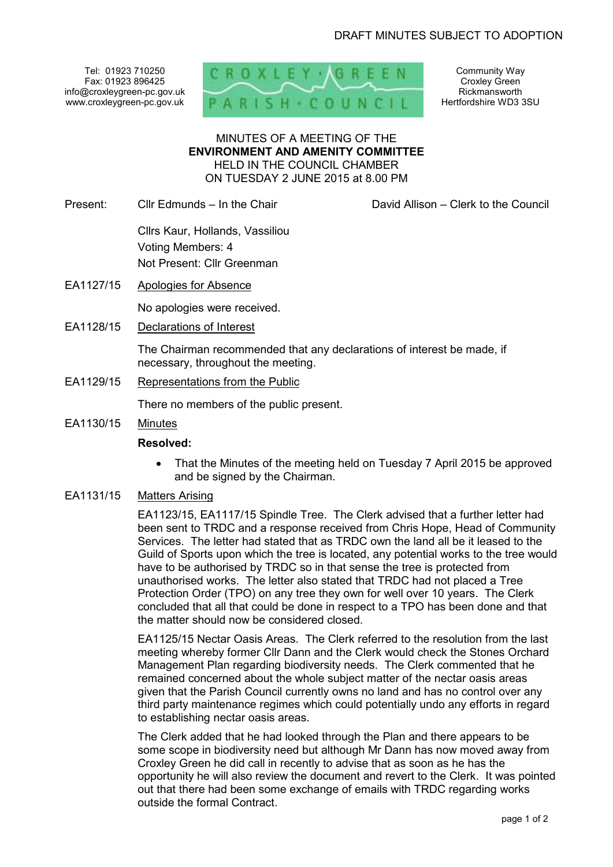Tel: 01923 710250 Fax: 01923 896425 info@croxleygreen-pc.gov.uk www.croxleygreen-pc.gov.uk



Community Way Croxley Green Rickmansworth Hertfordshire WD3 3SU

#### MINUTES OF A MEETING OF THE **ENVIRONMENT AND AMENITY COMMITTEE** HELD IN THE COUNCIL CHAMBER ON TUESDAY 2 JUNE 2015 at 8.00 PM

Present: Cllr Edmunds – In the Chair David Allison – Clerk to the Council

 Cllrs Kaur, Hollands, Vassiliou Voting Members: 4 Not Present: Cllr Greenman

EA1127/15 Apologies for Absence

No apologies were received.

EA1128/15 Declarations of Interest

The Chairman recommended that any declarations of interest be made, if necessary, throughout the meeting.

EA1129/15 Representations from the Public

There no members of the public present.

EA1130/15 Minutes

#### **Resolved:**

• That the Minutes of the meeting held on Tuesday 7 April 2015 be approved and be signed by the Chairman.

# EA1131/15 Matters Arising

EA1123/15, EA1117/15 Spindle Tree. The Clerk advised that a further letter had been sent to TRDC and a response received from Chris Hope, Head of Community Services. The letter had stated that as TRDC own the land all be it leased to the Guild of Sports upon which the tree is located, any potential works to the tree would have to be authorised by TRDC so in that sense the tree is protected from unauthorised works. The letter also stated that TRDC had not placed a Tree Protection Order (TPO) on any tree they own for well over 10 years. The Clerk concluded that all that could be done in respect to a TPO has been done and that the matter should now be considered closed.

EA1125/15 Nectar Oasis Areas. The Clerk referred to the resolution from the last meeting whereby former Cllr Dann and the Clerk would check the Stones Orchard Management Plan regarding biodiversity needs. The Clerk commented that he remained concerned about the whole subject matter of the nectar oasis areas given that the Parish Council currently owns no land and has no control over any third party maintenance regimes which could potentially undo any efforts in regard to establishing nectar oasis areas.

The Clerk added that he had looked through the Plan and there appears to be some scope in biodiversity need but although Mr Dann has now moved away from Croxley Green he did call in recently to advise that as soon as he has the opportunity he will also review the document and revert to the Clerk. It was pointed out that there had been some exchange of emails with TRDC regarding works outside the formal Contract.